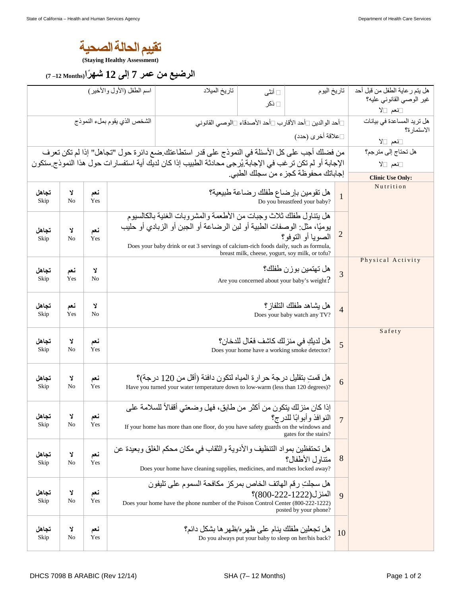

**(Staying Healthy Assessment)** 

## **الرضيع من عمر 7 إلى 12 شه ًرا(Months 12 –7(**

|                                                                                                                                                                                                          |                         |            | اسم الطفل (الأول والأخير)                                                                                                                                                                                                                                                                                                     | تاريخ الميلاد                                                                                                                                            | □ أنثى<br>⊡ ذکر                                                                        | تاريخ اليوم                                      |                | هل يتم ر عاية الطفل من قبل أحد<br>غير الوصيي القانوني عليه؟<br>⊡نعم ⊡لا |
|----------------------------------------------------------------------------------------------------------------------------------------------------------------------------------------------------------|-------------------------|------------|-------------------------------------------------------------------------------------------------------------------------------------------------------------------------------------------------------------------------------------------------------------------------------------------------------------------------------|----------------------------------------------------------------------------------------------------------------------------------------------------------|----------------------------------------------------------------------------------------|--------------------------------------------------|----------------|-------------------------------------------------------------------------|
| الشخص الذي يقوم بملء النموذج                                                                                                                                                                             |                         |            |                                                                                                                                                                                                                                                                                                                               | ∏أحد الوالدين □أحد الأقارب □أحد الأصدقاء □الوصبي القانوني                                                                                                |                                                                                        |                                                  |                | هل تريد المساعدة في بيانات<br>الاستمارة؟                                |
| □علاقة أخرى (حدد)                                                                                                                                                                                        |                         |            |                                                                                                                                                                                                                                                                                                                               |                                                                                                                                                          |                                                                                        |                                                  |                | ⊡نعم ⊡لا                                                                |
| من فضلك أجب على كل الأسئلة في النموذج على قدر استطاعتك ضع دائرة حول "تجاهل" إذا لم تكن تعرف<br>الإجابة أو لم تكن تر غب في الإجابة يُر جي محادثة الطبيب إذا كان لديك أية استفسار ات حول هذا النموذج ستكون |                         |            |                                                                                                                                                                                                                                                                                                                               |                                                                                                                                                          |                                                                                        |                                                  |                | هل تحتاج إلى مترجم؟<br>⊡نعم ⊡لا                                         |
|                                                                                                                                                                                                          | <b>Clinic Use Only:</b> |            |                                                                                                                                                                                                                                                                                                                               |                                                                                                                                                          |                                                                                        |                                                  |                |                                                                         |
| تجاهل<br>Skip                                                                                                                                                                                            | Y<br>No                 | نعم<br>Yes | هل تقومين بإرضاع طفلك رضاعة طبيعية؟<br>$\mathbf{1}$<br>Do you breastfeed your baby?                                                                                                                                                                                                                                           |                                                                                                                                                          |                                                                                        |                                                  |                | Nutrition                                                               |
| تجاهل<br>Skip                                                                                                                                                                                            | Y<br>No                 | نعم<br>Yes | هل يتناول طفلك ثلاث وجبات من الأطعمة والمشروبات الغنية بالكالسيوم<br>يوميًا، مثل: الوصفات الطبية أو لبن الرضاعة أو الجبن أو الزبادي أو حليب<br>$\overline{2}$<br>الصوبا أو التوفو؟<br>Does your baby drink or eat 3 servings of calcium-rich foods daily, such as formula,<br>breast milk, cheese, yogurt, soy milk, or tofu? |                                                                                                                                                          |                                                                                        |                                                  |                |                                                                         |
| تجاهل<br>Skip                                                                                                                                                                                            | نعم<br>Yes              | λ<br>No    |                                                                                                                                                                                                                                                                                                                               | Are you concerned about your baby's weight?                                                                                                              | $\overline{3}$                                                                         | Physical Activity                                |                |                                                                         |
| تجاهل<br>Skip                                                                                                                                                                                            | نعم<br>Yes              | Y<br>No    | هل يشاهد طفلك التلفاز ؟<br>$\overline{4}$<br>Does your baby watch any TV?                                                                                                                                                                                                                                                     |                                                                                                                                                          |                                                                                        |                                                  |                |                                                                         |
| تجاهل<br>Skip                                                                                                                                                                                            | Y<br>No                 | نعم<br>Yes |                                                                                                                                                                                                                                                                                                                               |                                                                                                                                                          | هل لديكِ في منز لك كاشف فعّال للدخان؟<br>Does your home have a working smoke detector? |                                                  | 5              | Safety                                                                  |
| تجاهل<br>Skip                                                                                                                                                                                            | Y<br>No                 | نعم<br>Yes |                                                                                                                                                                                                                                                                                                                               | هل قمتِ بتقليل درجة حر ار ة المياه لتكون دافئة (أقل من 120 درجة)؟<br>Have you turned your water temperature down to low-warm (less than 120 degrees)?    |                                                                                        |                                                  | 6              |                                                                         |
| تجاهل<br>экір                                                                                                                                                                                            | Y<br>No                 | نعم<br>Yes |                                                                                                                                                                                                                                                                                                                               | إذا كان منزلك يتكون من أكثر من طابق، فهل وضعتي أقفالاً للسلامة على<br>If your home has more than one floor, do you have safety guards on the windows and |                                                                                        | النوافذ وأبوابًا للدرج؟<br>gates for the stairs? | $\overline{7}$ |                                                                         |
| تجاهل<br>Skip                                                                                                                                                                                            | Y<br>No                 | نعم<br>Yes |                                                                                                                                                                                                                                                                                                                               | هل تحتفظين بمواد التنظيف والأدوية والثقاب في مكان محكم الغلق وبعيدة عن<br>Does your home have cleaning supplies, medicines, and matches locked away?     |                                                                                        | متناول الأطفال؟                                  | 8              |                                                                         |
| تجاهل<br>Skip                                                                                                                                                                                            | Y<br>No                 | نعم<br>Yes |                                                                                                                                                                                                                                                                                                                               | هل سجلت رقم الهاتف الخاص بمركز مكافحة السموم على تليفون<br>Does your home have the phone number of the Poison Control Center (800-222-1222)              |                                                                                        | المنزل(1222-1222)؟<br>posted by your phone?      | 9              |                                                                         |
| تجاهل<br>Skip                                                                                                                                                                                            | Y<br>No                 | نعم<br>Yes |                                                                                                                                                                                                                                                                                                                               | هل تجعلين طفلك ينام على ظهر 2/ظهر ها بشكل دائم؟                                                                                                          | Do you always put your baby to sleep on her/his back?                                  |                                                  | 10             |                                                                         |